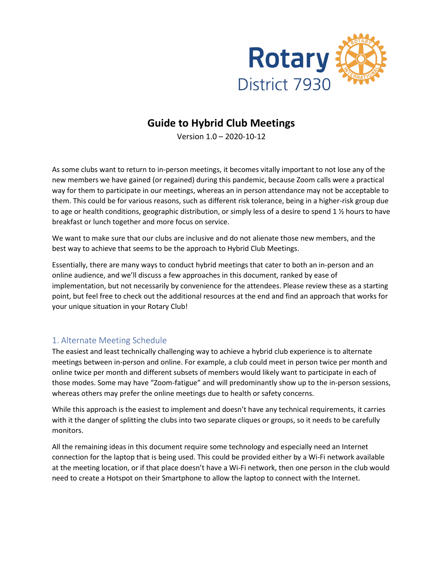

# **Guide to Hybrid Club Meetings**

Version 1.0 – 2020-10-12

As some clubs want to return to in-person meetings, it becomes vitally important to not lose any of the new members we have gained (or regained) during this pandemic, because Zoom calls were a practical way for them to participate in our meetings, whereas an in person attendance may not be acceptable to them. This could be for various reasons, such as different risk tolerance, being in a higher-risk group due to age or health conditions, geographic distribution, or simply less of a desire to spend 1  $\frac{1}{2}$  hours to have breakfast or lunch together and more focus on service.

We want to make sure that our clubs are inclusive and do not alienate those new members, and the best way to achieve that seems to be the approach to Hybrid Club Meetings.

Essentially, there are many ways to conduct hybrid meetings that cater to both an in-person and an online audience, and we'll discuss a few approaches in this document, ranked by ease of implementation, but not necessarily by convenience for the attendees. Please review these as a starting point, but feel free to check out the additional resources at the end and find an approach that works for your unique situation in your Rotary Club!

## 1. Alternate Meeting Schedule

The easiest and least technically challenging way to achieve a hybrid club experience is to alternate meetings between in-person and online. For example, a club could meet in person twice per month and online twice per month and different subsets of members would likely want to participate in each of those modes. Some may have "Zoom-fatigue" and will predominantly show up to the in-person sessions, whereas others may prefer the online meetings due to health or safety concerns.

While this approach is the easiest to implement and doesn't have any technical requirements, it carries with it the danger of splitting the clubs into two separate cliques or groups, so it needs to be carefully monitors.

All the remaining ideas in this document require some technology and especially need an Internet connection for the laptop that is being used. This could be provided either by a Wi-Fi network available at the meeting location, or if that place doesn't have a Wi-Fi network, then one person in the club would need to create a Hotspot on their Smartphone to allow the laptop to connect with the Internet.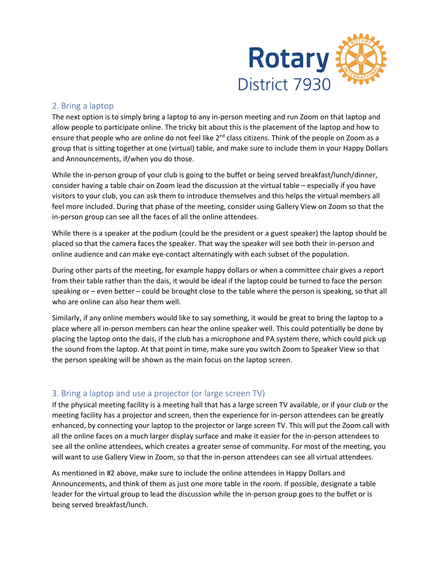

## 2. Bring a laptop

The next option is to simply bring a laptop to any in-person meeting and run Zoom on that laptop and allow people to participate online. The tricky bit about this is the placement of the laptop and how to ensure that people who are online do not feel like  $2<sup>nd</sup>$  class citizens. Think of the people on Zoom as a group that is sitting together at one (virtual) table, and make sure to include them in your Happy Dollars and Announcements, if/when you do those.

While the in-person group of your club is going to the buffet or being served breakfast/lunch/dinner, consider having a table chair on Zoom lead the discussion at the virtual table – especially if you have visitors to your club, you can ask them to introduce themselves and this helps the virtual members all feel more included. During that phase of the meeting, consider using Gallery View on Zoom so that the in-person group can see all the faces of all the online attendees.

While there is a speaker at the podium (could be the president or a guest speaker) the laptop should be placed so that the camera faces the speaker. That way the speaker will see both their in-person and online audience and can make eye-contact alternatingly with each subset of the population.

During other parts of the meeting, for example happy dollars or when a committee chair gives a report from their table rather than the dais, it would be ideal if the laptop could be turned to face the person speaking or – even better – could be brought close to the table where the person is speaking, so that all who are online can also hear them well.

Similarly, if any online members would like to say something, it would be great to bring the laptop to a place where all in-person members can hear the online speaker well. This could potentially be done by placing the laptop onto the dais, if the club has a microphone and PA system there, which could pick up the sound from the laptop. At that point in time, make sure you switch Zoom to Speaker View so that the person speaking will be shown as the main focus on the laptop screen.

# 3. Bring a laptop and use a projector (or large screen TV)

If the physical meeting facility is a meeting hall that has a large screen TV available, or if your club or the meeting facility has a projector and screen, then the experience for in-person attendees can be greatly enhanced, by connecting your laptop to the projector or large screen TV. This will put the Zoom call with all the online faces on a much larger display surface and make it easier for the in-person attendees to see all the online attendees, which creates a greater sense of community. For most of the meeting, you will want to use Gallery View in Zoom, so that the in-person attendees can see all virtual attendees.

As mentioned in #2 above, make sure to include the online attendees in Happy Dollars and Announcements, and think of them as just one more table in the room. If possible, designate a table leader for the virtual group to lead the discussion while the in-person group goes to the buffet or is being served breakfast/lunch.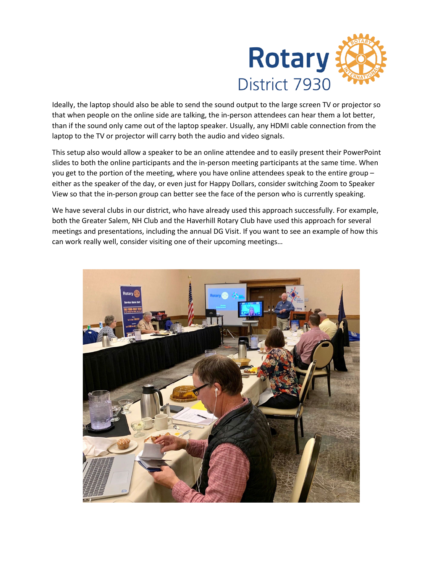

Ideally, the laptop should also be able to send the sound output to the large screen TV or projector so that when people on the online side are talking, the in-person attendees can hear them a lot better, than if the sound only came out of the laptop speaker. Usually, any HDMI cable connection from the laptop to the TV or projector will carry both the audio and video signals.

This setup also would allow a speaker to be an online attendee and to easily present their PowerPoint slides to both the online participants and the in-person meeting participants at the same time. When you get to the portion of the meeting, where you have online attendees speak to the entire group – either as the speaker of the day, or even just for Happy Dollars, consider switching Zoom to Speaker View so that the in-person group can better see the face of the person who is currently speaking.

We have several clubs in our district, who have already used this approach successfully. For example, both the Greater Salem, NH Club and the Haverhill Rotary Club have used this approach for several meetings and presentations, including the annual DG Visit. If you want to see an example of how this can work really well, consider visiting one of their upcoming meetings…

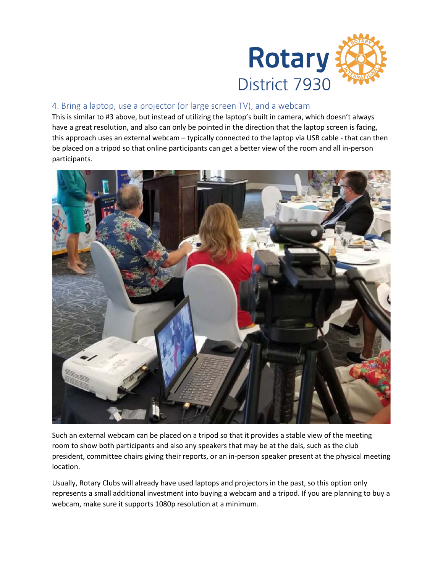

## 4. Bring a laptop, use a projector (or large screen TV), and a webcam

This is similar to #3 above, but instead of utilizing the laptop's built in camera, which doesn't always have a great resolution, and also can only be pointed in the direction that the laptop screen is facing, this approach uses an external webcam – typically connected to the laptop via USB cable - that can then be placed on a tripod so that online participants can get a better view of the room and all in-person participants.



Such an external webcam can be placed on a tripod so that it provides a stable view of the meeting room to show both participants and also any speakers that may be at the dais, such as the club president, committee chairs giving their reports, or an in-person speaker present at the physical meeting location.

Usually, Rotary Clubs will already have used laptops and projectors in the past, so this option only represents a small additional investment into buying a webcam and a tripod. If you are planning to buy a webcam, make sure it supports 1080p resolution at a minimum.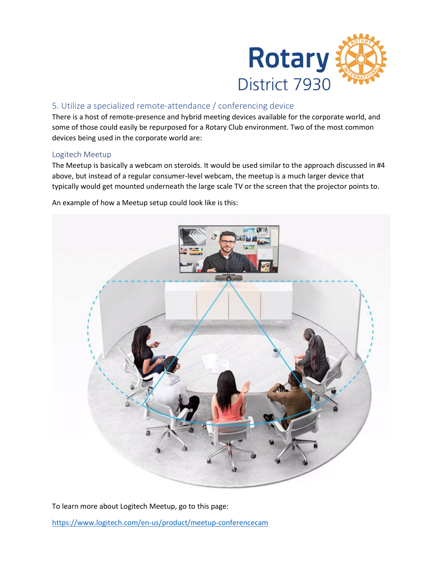

## 5. Utilize a specialized remote-attendance / conferencing device

There is a host of remote-presence and hybrid meeting devices available for the corporate world, and some of those could easily be repurposed for a Rotary Club environment. Two of the most common devices being used in the corporate world are:

#### Logitech Meetup

The Meetup is basically a webcam on steroids. It would be used similar to the approach discussed in #4 above, but instead of a regular consumer-level webcam, the meetup is a much larger device that typically would get mounted underneath the large scale TV or the screen that the projector points to.

An example of how a Meetup setup could look like is this:



To learn more about Logitech Meetup, go to this page:

<https://www.logitech.com/en-us/product/meetup-conferencecam>